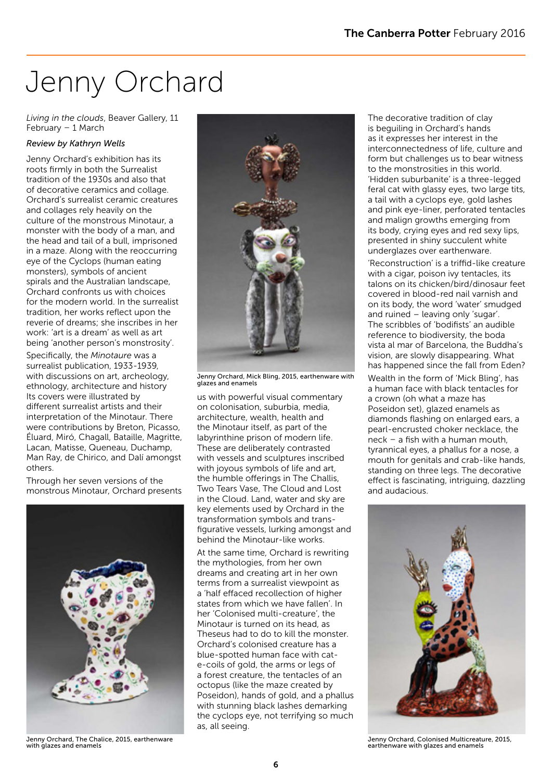# Jenny Orchard

*Living in the clouds*, Beaver Gallery, 11 February – 1 March

#### *Review by Kathryn Wells*

Jenny Orchard's exhibition has its roots firmly in both the Surrealist tradition of the 1930s and also that of decorative ceramics and collage. Orchard's surrealist ceramic creatures and collages rely heavily on the culture of the monstrous Minotaur, a monster with the body of a man, and the head and tail of a bull, imprisoned in a maze. Along with the reoccurring eye of the Cyclops (human eating monsters), symbols of ancient spirals and the Australian landscape, Orchard confronts us with choices for the modern world. In the surrealist tradition, her works reflect upon the reverie of dreams; she inscribes in her work: 'art is a dream' as well as art being 'another person's monstrosity'.

Specifically, the *Minotaure* was a surrealist publication, 1933-1939, with discussions on art, archeology, ethnology, architecture and history Its covers were illustrated by different surrealist artists and their interpretation of the Minotaur. There were contributions by Breton, Picasso, Éluard, Miró, Chagall, Bataille, Magritte, Lacan, Matisse, Queneau, Duchamp, Man Ray, de Chirico, and Dalí amongst others.

Through her seven versions of the monstrous Minotaur, Orchard presents



Jenny Orchard, The Chalice, 2015, earthenware with glazes and enamels



Jenny Orchard, Mick Bling, 2015, earthenware with glazes and enamels

us with powerful visual commentary on colonisation, suburbia, media, architecture, wealth, health and the Minotaur itself, as part of the labyrinthine prison of modern life. These are deliberately contrasted with vessels and sculptures inscribed with joyous symbols of life and art, the humble offerings in The Challis, Two Tears Vase, The Cloud and Lost in the Cloud. Land, water and sky are key elements used by Orchard in the transformation symbols and transfigurative vessels, lurking amongst and behind the Minotaur-like works.

At the same time, Orchard is rewriting the mythologies, from her own dreams and creating art in her own terms from a surrealist viewpoint as a 'half effaced recollection of higher states from which we have fallen'. In her 'Colonised multi-creature', the Minotaur is turned on its head, as Theseus had to do to kill the monster. Orchard's colonised creature has a blue-spotted human face with cate-coils of gold, the arms or legs of a forest creature, the tentacles of an octopus (like the maze created by Poseidon), hands of gold, and a phallus with stunning black lashes demarking the cyclops eye, not terrifying so much as, all seeing.

The decorative tradition of clay is beguiling in Orchard's hands as it expresses her interest in the interconnectedness of life, culture and form but challenges us to bear witness to the monstrosities in this world. 'Hidden suburbanite' is a three-legged feral cat with glassy eyes, two large tits, a tail with a cyclops eye, gold lashes and pink eye-liner, perforated tentacles and malign growths emerging from its body, crying eyes and red sexy lips, presented in shiny succulent white underglazes over earthenware.

'Reconstruction' is a triffid-like creature with a cigar, poison ivy tentacles, its talons on its chicken/bird/dinosaur feet covered in blood-red nail varnish and on its body, the word 'water' smudged and ruined – leaving only 'sugar'. The scribbles of 'bodifists' an audible reference to biodiversity, the boda vista al mar of Barcelona, the Buddha's vision, are slowly disappearing. What has happened since the fall from Eden? Wealth in the form of 'Mick Bling', has a human face with black tentacles for a crown (oh what a maze has Poseidon set), glazed enamels as diamonds flashing on enlarged ears, a pearl-encrusted choker necklace, the neck – a fish with a human mouth, tyrannical eyes, a phallus for a nose, a mouth for genitals and crab-like hands, standing on three legs. The decorative effect is fascinating, intriguing, dazzling and audacious.



Jenny Orchard, Colonised Multicreature, 2015, earthenware with glazes and enamels